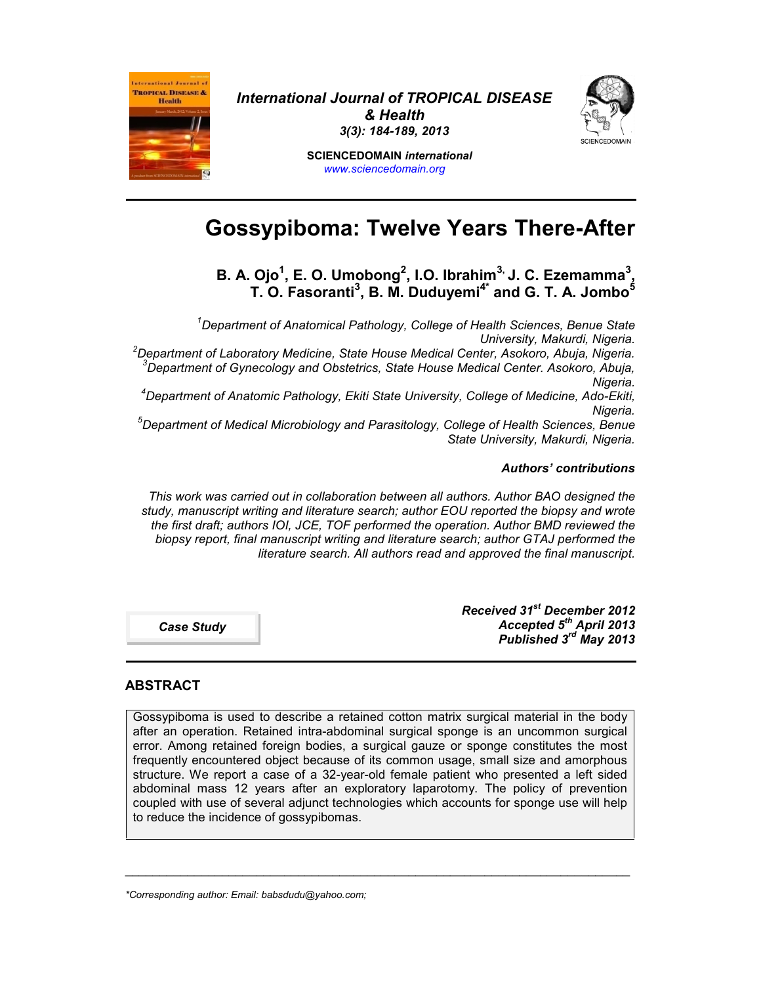

*International Journal of TROPICAL DISEASE & Health 3(3): 184-189, 2013*



**SCIENCEDOMAIN** *international www.sciencedomain.org*

# **Gossypiboma: Twelve Years There-After**

**B. A. Ojo<sup>1</sup> , E. O. Umobong<sup>2</sup> , I.O. Ibrahim3, J. C. Ezemamma<sup>3</sup> , T. O. Fasoranti<sup>3</sup> , B. M. Duduyemi4\* and G. T. A. Jombo<sup>5</sup>**

*<sup>1</sup>Department of Anatomical Pathology, College of Health Sciences, Benue State* .Dniversity, Makurdi, Nigeria وDniversity, Makurdi, Nigeria.<br>Department of Laboratory Medicine, State House Medical Center, Asokoro, Abuja, Nigeria.<br>Department of Gynecology and Obstetrics, State House Medical Center. Asok *Nigeria. <sup>4</sup>Department of Anatomic Pathology, Ekiti State University, College of Medicine, Ado-Ekiti,*

*Nigeria. <sup>5</sup>Department of Medical Microbiology and Parasitology, College of Health Sciences, Benue*

*State University, Makurdi, Nigeria.*

### *Authors' contributions*

*This work was carried out in collaboration between all authors. Author BAO designed the study, manuscript writing and literature search; author EOU reported the biopsy and wrote the first draft; authors IOI, JCE, TOF performed the operation. Author BMD reviewed the biopsy report, final manuscript writing and literature search; author GTAJ performed the literature search. All authors read and approved the final manuscript.*

*Case Study*

*Received 31st December 2012 Accepted 5 th April 2013 Published 3 rd May 2013*

### **ABSTRACT**

Gossypiboma is used to describe a retained cotton matrix surgical material in the body after an operation. Retained intra-abdominal surgical sponge is an uncommon surgical error. Among retained foreign bodies, a surgical gauze or sponge constitutes the most frequently encountered object because of its common usage, small size and amorphous structure. We report a case of a 32-year-old female patient who presented a left sided abdominal mass 12 years after an exploratory laparotomy. The policy of prevention coupled with use of several adjunct technologies which accounts for sponge use will help to reduce the incidence of gossypibomas.

\_\_\_\_\_\_\_\_\_\_\_\_\_\_\_\_\_\_\_\_\_\_\_\_\_\_\_\_\_\_\_\_\_\_\_\_\_\_\_\_\_\_\_\_\_\_\_\_\_\_\_\_\_\_\_\_\_\_\_\_\_\_\_\_\_\_\_\_\_\_\_\_\_

*\*Corresponding author: Email: babsdudu@yahoo.com;*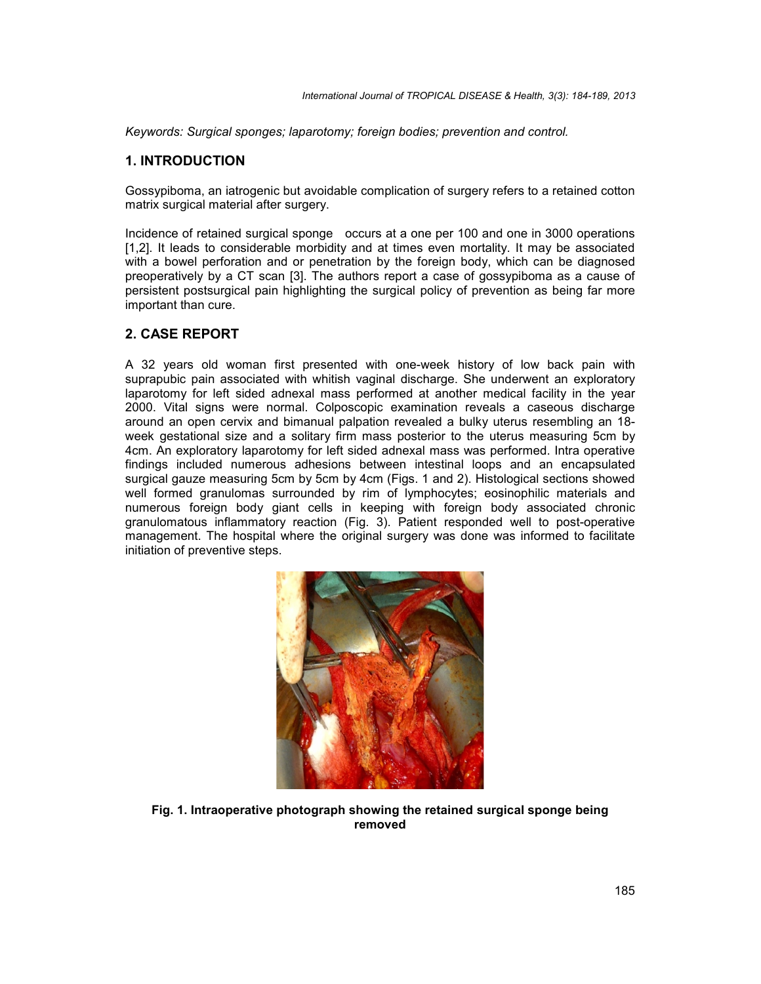*Keywords: Surgical sponges; laparotomy; foreign bodies; prevention and control.*

#### **1. INTRODUCTION**

Gossypiboma, an iatrogenic but avoidable complication of surgery refers to a retained cotton matrix surgical material after surgery.

Incidence of retained surgical sponge occurs at a one per 100 and one in 3000 operations [1,2]. It leads to considerable morbidity and at times even mortality. It may be associated with a bowel perforation and or penetration by the foreign body, which can be diagnosed preoperatively by a CT scan [3]. The authors report a case of gossypiboma as a cause of persistent postsurgical pain highlighting the surgical policy of prevention as being far more important than cure.

### **2. CASE REPORT**

A 32 years old woman first presented with one-week history of low back pain with suprapubic pain associated with whitish vaginal discharge. She underwent an exploratory laparotomy for left sided adnexal mass performed at another medical facility in the year 2000. Vital signs were normal. Colposcopic examination reveals a caseous discharge around an open cervix and bimanual palpation revealed a bulky uterus resembling an 18 week gestational size and a solitary firm mass posterior to the uterus measuring 5cm by 4cm. An exploratory laparotomy for left sided adnexal mass was performed. Intra operative findings included numerous adhesions between intestinal loops and an encapsulated surgical gauze measuring 5cm by 5cm by 4cm (Figs. 1 and 2). Histological sections showed well formed granulomas surrounded by rim of lymphocytes; eosinophilic materials and numerous foreign body giant cells in keeping with foreign body associated chronic granulomatous inflammatory reaction (Fig. 3). Patient responded well to post-operative management. The hospital where the original surgery was done was informed to facilitate initiation of preventive steps.



**Fig. 1. Intraoperative photograph showing the retained surgical sponge being removed**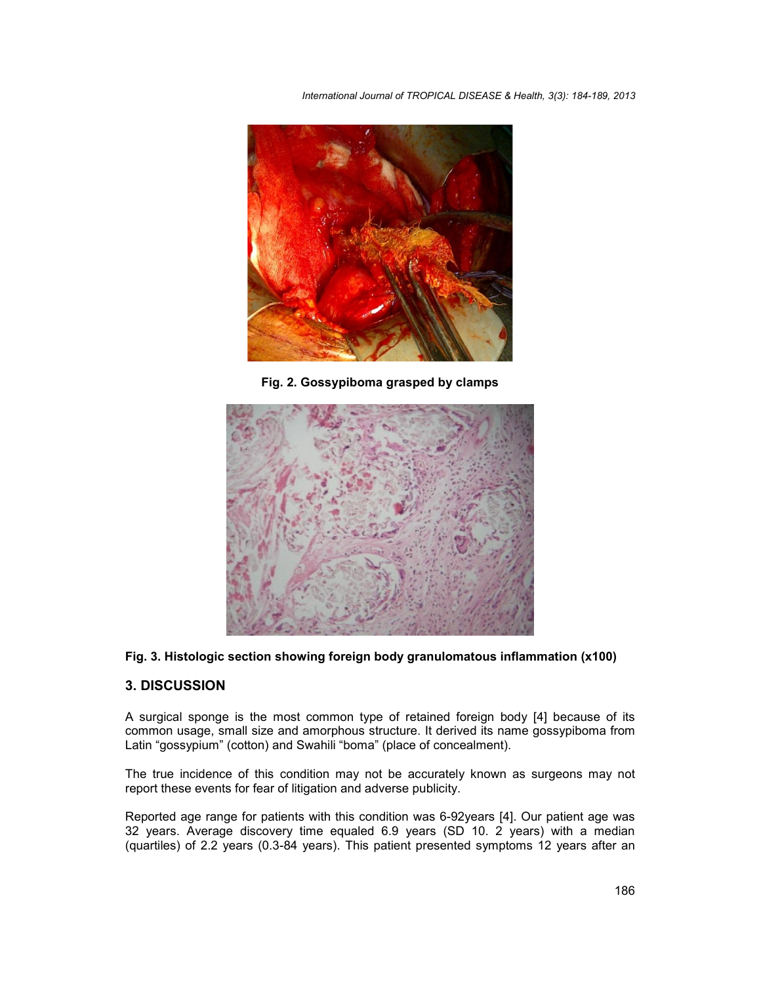*International Journal of TROPICAL DISEASE & Health, 3(3): 184-189, 2013*



**Fig. 2. Gossypiboma grasped by clamps**



### **Fig. 3. Histologic section showing foreign body granulomatous inflammation (x100)**

### **3. DISCUSSION**

A surgical sponge is the most common type of retained foreign body [4] because of its common usage, small size and amorphous structure. It derived its name gossypiboma from Latin "gossypium" (cotton) and Swahili "boma" (place of concealment).

The true incidence of this condition may not be accurately known as surgeons may not report these events for fear of litigation and adverse publicity.

Reported age range for patients with this condition was 6-92years [4]. Our patient age was 32 years. Average discovery time equaled 6.9 years (SD 10. 2 years) with a median (quartiles) of 2.2 years (0.3-84 years). This patient presented symptoms 12 years after an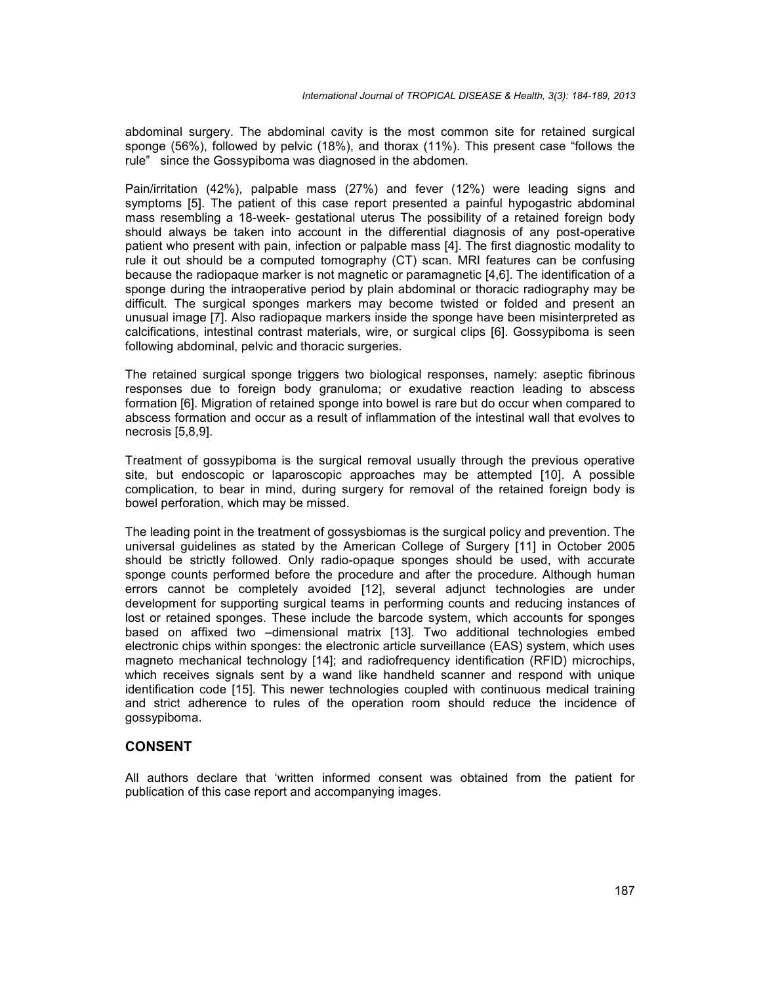abdominal surgery. The abdominal cavity is the most common site for retained surgical sponge (56%), followed by pelvic (18%), and thorax (11%). This present case "follows the rule" since the Gossypiboma was diagnosed in the abdomen.

Pain/irritation (42%), palpable mass (27%) and fever (12%) were leading signs and symptoms [5]. The patient of this case report presented a painful hypogastric abdominal mass resembling a 18-week- gestational uterus The possibility of a retained foreign body should always be taken into account in the differential diagnosis of any post-operative patient who present with pain, infection or palpable mass [4]. The first diagnostic modality to rule it out should be a computed tomography (CT) scan. MRI features can be confusing because the radiopaque marker is not magnetic or paramagnetic [4,6]. The identification of a sponge during the intraoperative period by plain abdominal or thoracic radiography may be difficult. The surgical sponges markers may become twisted or folded and present an unusual image [7]. Also radiopaque markers inside the sponge have been misinterpreted as calcifications, intestinal contrast materials, wire, or surgical clips [6]. Gossypiboma is seen following abdominal, pelvic and thoracic surgeries.

The retained surgical sponge triggers two biological responses, namely: aseptic fibrinous responses due to foreign body granuloma; or exudative reaction leading to abscess formation [6]. Migration of retained sponge into bowel is rare but do occur when compared to abscess formation and occur as a result of inflammation of the intestinal wall that evolves to necrosis [5,8,9].

Treatment of gossypiboma is the surgical removal usually through the previous operative site, but endoscopic or laparoscopic approaches may be attempted [10]. A possible complication, to bear in mind, during surgery for removal of the retained foreign body is bowel perforation, which may be missed.

The leading point in the treatment of gossysbiomas is the surgical policy and prevention. The universal guidelines as stated by the American College of Surgery [11] in October 2005 should be strictly followed. Only radio-opaque sponges should be used, with accurate sponge counts performed before the procedure and after the procedure. Although human errors cannot be completely avoided [12], several adjunct technologies are under development for supporting surgical teams in performing counts and reducing instances of lost or retained sponges. These include the barcode system, which accounts for sponges based on affixed two –dimensional matrix [13]. Two additional technologies embed electronic chips within sponges: the electronic article surveillance (EAS) system, which uses magneto mechanical technology [14]; and radiofrequency identification (RFID) microchips, which receives signals sent by a wand like handheld scanner and respond with unique identification code [15]. This newer technologies coupled with continuous medical training and strict adherence to rules of the operation room should reduce the incidence of gossypiboma.

### **CONSENT**

All authors declare that 'written informed consent was obtained from the patient for publication of this case report and accompanying images.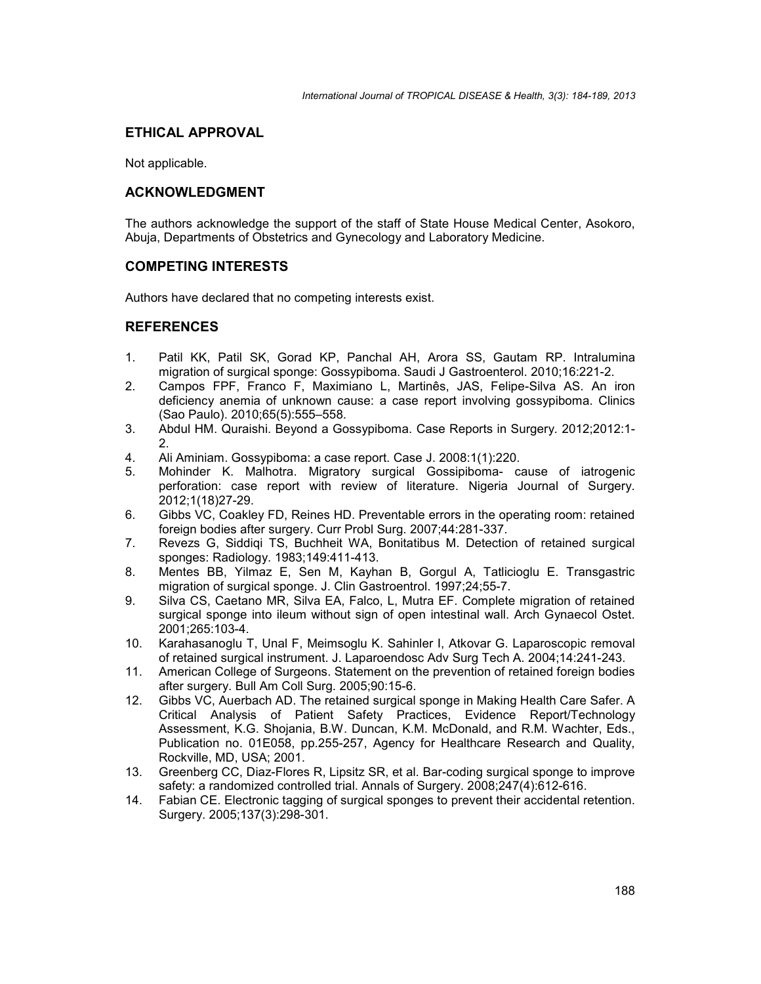## **ETHICAL APPROVAL**

Not applicable.

### **ACKNOWLEDGMENT**

The authors acknowledge the support of the staff of State House Medical Center, Asokoro, Abuja, Departments of Obstetrics and Gynecology and Laboratory Medicine.

### **COMPETING INTERESTS**

Authors have declared that no competing interests exist.

### **REFERENCES**

- 1. Patil KK, Patil SK, Gorad KP, Panchal AH, Arora SS, Gautam RP. Intralumina migration of surgical sponge: Gossypiboma. Saudi J Gastroenterol. 2010;16:221-2.
- 2. Campos FPF, Franco F, Maximiano L, Martinês, JAS, Felipe-Silva AS. An iron deficiency anemia of unknown cause: a case report involving gossypiboma. Clinics (Sao Paulo). 2010;65(5):555–558.
- 3. Abdul HM. Quraishi. Beyond a Gossypiboma. Case Reports in Surgery*.* 2012;2012:1- 2.
- 4. Ali Aminiam. Gossypiboma: a case report. Case J. 2008:1(1):220.
- 5. Mohinder K. Malhotra. Migratory surgical Gossipiboma- cause of iatrogenic perforation: case report with review of literature. Nigeria Journal of Surgery. 2012;1(18)27-29.
- 6. Gibbs VC, Coakley FD, Reines HD. Preventable errors in the operating room: retained foreign bodies after surgery. Curr Probl Surg. 2007;44:281-337.
- 7. Revezs G, Siddiqi TS, Buchheit WA, Bonitatibus M. Detection of retained surgical sponges: Radiology. 1983;149:411-413.
- 8. Mentes BB, Yilmaz E, Sen M, Kayhan B, Gorgul A, Tatlicioglu E. Transgastric migration of surgical sponge. J. Clin Gastroentrol. 1997;24;55-7.
- 9. Silva CS, Caetano MR, Silva EA, Falco, L, Mutra EF. Complete migration of retained surgical sponge into ileum without sign of open intestinal wall. Arch Gynaecol Ostet. 2001;265:103-4.
- 10. Karahasanoglu T, Unal F, Meimsoglu K. Sahinler I, Atkovar G. Laparoscopic removal of retained surgical instrument. J. Laparoendosc Adv Surg Tech A. 2004;14:241-243.
- 11. American College of Surgeons. Statement on the prevention of retained foreign bodies after surgery. Bull Am Coll Surg. 2005;90:15-6.
- 12. Gibbs VC, Auerbach AD.The retained surgical sponge in Making Health Care Safer. A Critical Analysis of Patient Safety Practices, Evidence Report/Technology Assessment, K.G. Shojania, B.W. Duncan, K.M. McDonald, and R.M. Wachter, Eds., Publication no. 01E058, pp.255-257, Agency for Healthcare Research and Quality, Rockville, MD, USA; 2001.
- 13. Greenberg CC, Diaz-Flores R, Lipsitz SR, et al. Bar-coding surgical sponge to improve safety: a randomized controlled trial. Annals of Surgery. 2008;247(4):612-616.
- 14. Fabian CE. Electronic tagging of surgical sponges to prevent their accidental retention. Surgery. 2005;137(3):298-301.